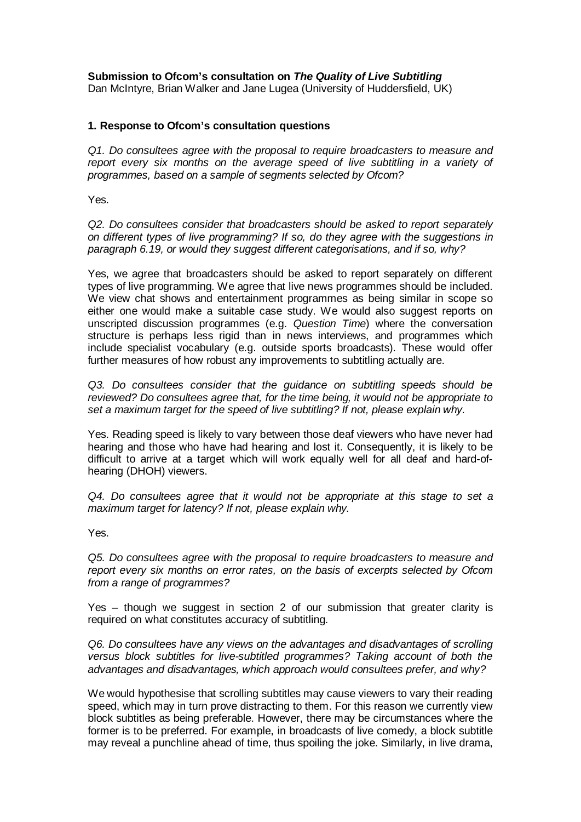**Submission to Ofcom's consultation on** *The Quality of Live Subtitling*

Dan McIntyre, Brian Walker and Jane Lugea (University of Huddersfield, UK)

#### **1. Response to Ofcom's consultation questions**

*Q1. Do consultees agree with the proposal to require broadcasters to measure and report every six months on the average speed of live subtitling in a variety of programmes, based on a sample of segments selected by Ofcom?*

Yes.

*Q2. Do consultees consider that broadcasters should be asked to report separately on different types of live programming? If so, do they agree with the suggestions in paragraph 6.19, or would they suggest different categorisations, and if so, why?*

Yes, we agree that broadcasters should be asked to report separately on different types of live programming. We agree that live news programmes should be included. We view chat shows and entertainment programmes as being similar in scope so either one would make a suitable case study. We would also suggest reports on unscripted discussion programmes (e.g. *Question Time*) where the conversation structure is perhaps less rigid than in news interviews, and programmes which include specialist vocabulary (e.g. outside sports broadcasts). These would offer further measures of how robust any improvements to subtitling actually are.

*Q3. Do consultees consider that the guidance on subtitling speeds should be reviewed? Do consultees agree that, for the time being, it would not be appropriate to set a maximum target for the speed of live subtitling? If not, please explain why.*

Yes. Reading speed is likely to vary between those deaf viewers who have never had hearing and those who have had hearing and lost it. Consequently, it is likely to be difficult to arrive at a target which will work equally well for all deaf and hard-ofhearing (DHOH) viewers.

*Q4. Do consultees agree that it would not be appropriate at this stage to set a maximum target for latency? If not, please explain why.*

Yes.

*Q5. Do consultees agree with the proposal to require broadcasters to measure and report every six months on error rates, on the basis of excerpts selected by Ofcom from a range of programmes?*

Yes – though we suggest in section 2 of our submission that greater clarity is required on what constitutes accuracy of subtitling.

*Q6. Do consultees have any views on the advantages and disadvantages of scrolling versus block subtitles for live-subtitled programmes? Taking account of both the advantages and disadvantages, which approach would consultees prefer, and why?*

We would hypothesise that scrolling subtitles may cause viewers to vary their reading speed, which may in turn prove distracting to them. For this reason we currently view block subtitles as being preferable. However, there may be circumstances where the former is to be preferred. For example, in broadcasts of live comedy, a block subtitle may reveal a punchline ahead of time, thus spoiling the joke. Similarly, in live drama,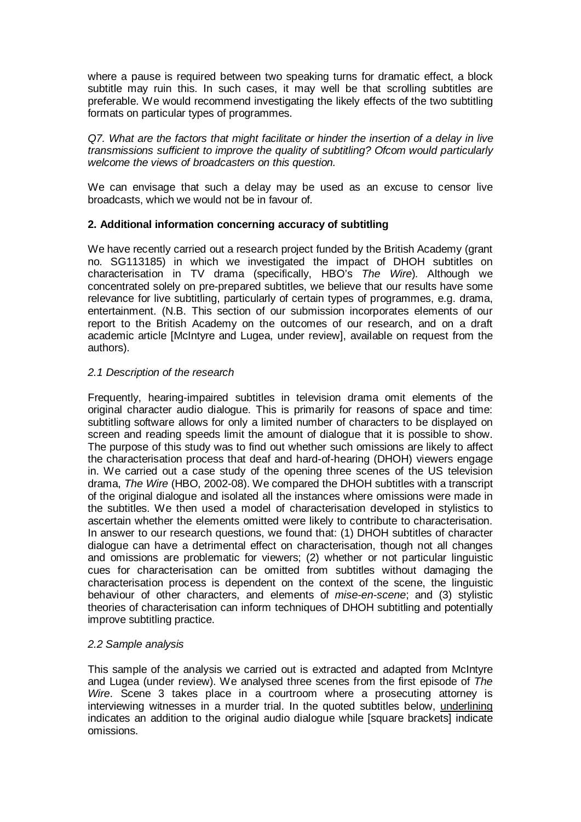where a pause is required between two speaking turns for dramatic effect, a block subtitle may ruin this. In such cases, it may well be that scrolling subtitles are preferable. We would recommend investigating the likely effects of the two subtitling formats on particular types of programmes.

*Q7. What are the factors that might facilitate or hinder the insertion of a delay in live transmissions sufficient to improve the quality of subtitling? Ofcom would particularly welcome the views of broadcasters on this question.*

We can envisage that such a delay may be used as an excuse to censor live broadcasts, which we would not be in favour of.

# **2. Additional information concerning accuracy of subtitling**

We have recently carried out a research project funded by the British Academy (grant no. SG113185) in which we investigated the impact of DHOH subtitles on characterisation in TV drama (specifically, HBO's *The Wire*). Although we concentrated solely on pre-prepared subtitles, we believe that our results have some relevance for live subtitling, particularly of certain types of programmes, e.g. drama, entertainment. (N.B. This section of our submission incorporates elements of our report to the British Academy on the outcomes of our research, and on a draft academic article [McIntyre and Lugea, under review], available on request from the authors).

## *2.1 Description of the research*

Frequently, hearing-impaired subtitles in television drama omit elements of the original character audio dialogue. This is primarily for reasons of space and time: subtitling software allows for only a limited number of characters to be displayed on screen and reading speeds limit the amount of dialogue that it is possible to show. The purpose of this study was to find out whether such omissions are likely to affect the characterisation process that deaf and hard-of-hearing (DHOH) viewers engage in. We carried out a case study of the opening three scenes of the US television drama, *The Wire* (HBO, 2002-08). We compared the DHOH subtitles with a transcript of the original dialogue and isolated all the instances where omissions were made in the subtitles. We then used a model of characterisation developed in stylistics to ascertain whether the elements omitted were likely to contribute to characterisation. In answer to our research questions, we found that: (1) DHOH subtitles of character dialogue can have a detrimental effect on characterisation, though not all changes and omissions are problematic for viewers; (2) whether or not particular linguistic cues for characterisation can be omitted from subtitles without damaging the characterisation process is dependent on the context of the scene, the linguistic behaviour of other characters, and elements of *mise-en-scene*; and (3) stylistic theories of characterisation can inform techniques of DHOH subtitling and potentially improve subtitling practice.

## *2.2 Sample analysis*

This sample of the analysis we carried out is extracted and adapted from McIntyre and Lugea (under review). We analysed three scenes from the first episode of *The Wire*. Scene 3 takes place in a courtroom where a prosecuting attorney is interviewing witnesses in a murder trial. In the quoted subtitles below, underlining indicates an addition to the original audio dialogue while [square brackets] indicate omissions.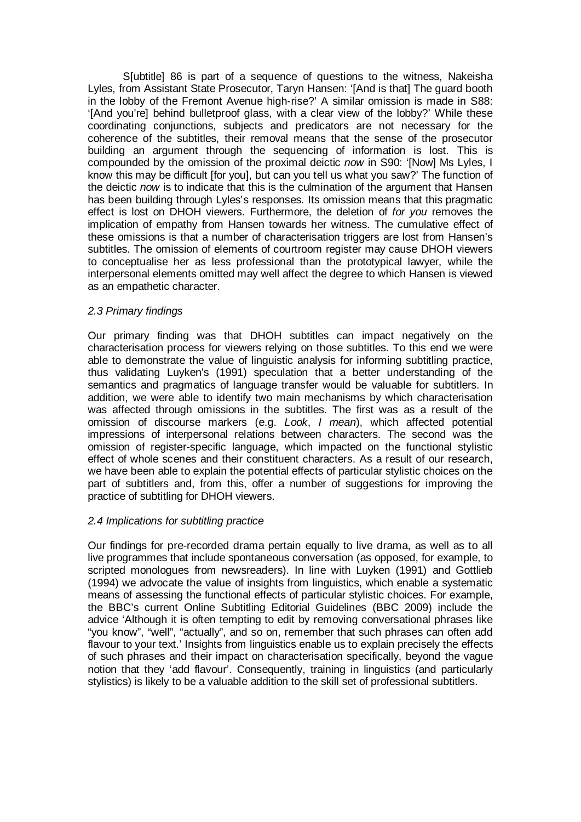S[ubtitle] 86 is part of a sequence of questions to the witness, Nakeisha Lyles, from Assistant State Prosecutor, Taryn Hansen: '[And is that] The guard booth in the lobby of the Fremont Avenue high-rise?' A similar omission is made in S88: '[And you're] behind bulletproof glass, with a clear view of the lobby?' While these coordinating conjunctions, subjects and predicators are not necessary for the coherence of the subtitles, their removal means that the sense of the prosecutor building an argument through the sequencing of information is lost. This is compounded by the omission of the proximal deictic *now* in S90: '[Now] Ms Lyles, I know this may be difficult [for you], but can you tell us what you saw?' The function of the deictic *now* is to indicate that this is the culmination of the argument that Hansen has been building through Lyles's responses. Its omission means that this pragmatic effect is lost on DHOH viewers. Furthermore, the deletion of *for you* removes the implication of empathy from Hansen towards her witness. The cumulative effect of these omissions is that a number of characterisation triggers are lost from Hansen's subtitles. The omission of elements of courtroom register may cause DHOH viewers to conceptualise her as less professional than the prototypical lawyer, while the interpersonal elements omitted may well affect the degree to which Hansen is viewed as an empathetic character.

#### *2.3 Primary findings*

Our primary finding was that DHOH subtitles can impact negatively on the characterisation process for viewers relying on those subtitles. To this end we were able to demonstrate the value of linguistic analysis for informing subtitling practice, thus validating Luyken's (1991) speculation that a better understanding of the semantics and pragmatics of language transfer would be valuable for subtitlers. In addition, we were able to identify two main mechanisms by which characterisation was affected through omissions in the subtitles. The first was as a result of the omission of discourse markers (e.g. *Look*, *I mean*), which affected potential impressions of interpersonal relations between characters. The second was the omission of register-specific language, which impacted on the functional stylistic effect of whole scenes and their constituent characters. As a result of our research, we have been able to explain the potential effects of particular stylistic choices on the part of subtitlers and, from this, offer a number of suggestions for improving the practice of subtitling for DHOH viewers.

#### *2.4 Implications for subtitling practice*

Our findings for pre-recorded drama pertain equally to live drama, as well as to all live programmes that include spontaneous conversation (as opposed, for example, to scripted monologues from newsreaders). In line with Luyken (1991) and Gottlieb (1994) we advocate the value of insights from linguistics, which enable a systematic means of assessing the functional effects of particular stylistic choices. For example, the BBC's current Online Subtitling Editorial Guidelines (BBC 2009) include the advice 'Although it is often tempting to edit by removing conversational phrases like "you know", "well", "actually", and so on, remember that such phrases can often add flavour to your text.' Insights from linguistics enable us to explain precisely the effects of such phrases and their impact on characterisation specifically, beyond the vague notion that they 'add flavour'. Consequently, training in linguistics (and particularly stylistics) is likely to be a valuable addition to the skill set of professional subtitlers.